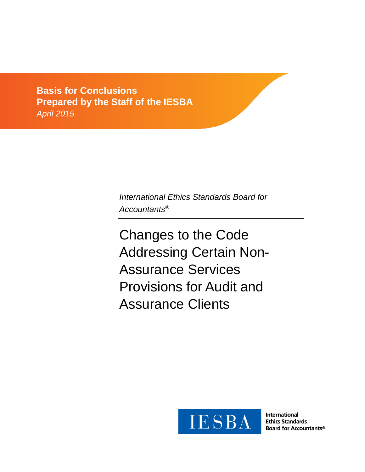**Exposure Detector**  $\Delta$ pril 2015 *Comments due: February 29, 2012* **Basis for Conclusions Prepared by the Staff of the IESBA** *April 2015*

> *International Ethics Standards Board for Accountants®*

Changes to the Code Addressing Certain Non-Assurance Services Provisions for Audit and Assurance Clients



**International Ethics Standards Board for Accountants®**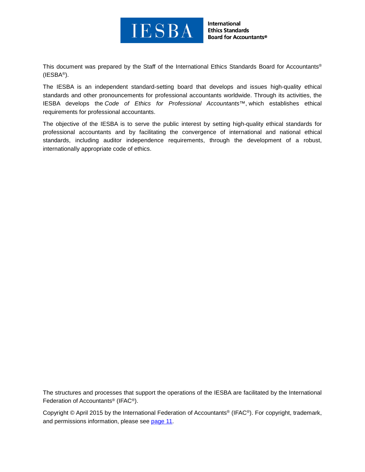

**International Ethics Standards Board for Accountants®** 

This document was prepared by the Staff of the International Ethics Standards Board for Accountants® (IESBA®).

The IESBA is an independent standard-setting board that develops and issues high-quality ethical standards and other pronouncements for professional accountants worldwide. Through its activities, the IESBA develops the *Code of Ethics for Professional Accountants™*, which establishes ethical requirements for professional accountants.

The objective of the IESBA is to serve the public interest by setting high-quality ethical standards for professional accountants and by facilitating the convergence of international and national ethical standards, including auditor independence requirements, through the development of a robust, internationally appropriate code of ethics.

The structures and processes that support the operations of the IESBA are facilitated by the International Federation of Accountants® (IFAC®).

Copyright © April 2015 by the International Federation of Accountants® (IFAC®). For copyright, trademark, and permissions information, please see [page 11.](#page-10-0)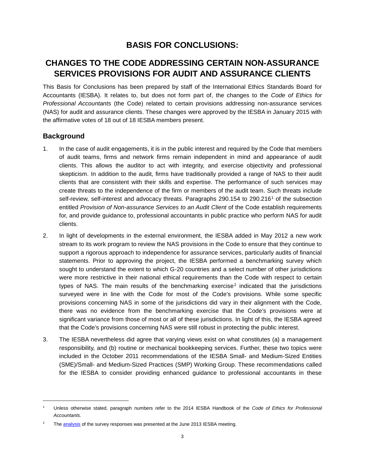# **BASIS FOR CONCLUSIONS:**

# **CHANGES TO THE CODE ADDRESSING CERTAIN NON-ASSURANCE SERVICES PROVISIONS FOR AUDIT AND ASSURANCE CLIENTS**

This Basis for Conclusions has been prepared by staff of the International Ethics Standards Board for Accountants (IESBA). It relates to, but does not form part of, the changes to the *Code of Ethics for Professional Accountants* (the Code) related to certain provisions addressing non-assurance services (NAS) for audit and assurance clients. These changes were approved by the IESBA in January 2015 with the affirmative votes of 18 out of 18 IESBA members present.

### **Background**

 $\overline{\phantom{a}}$ 

- 1. In the case of audit engagements, it is in the public interest and required by the Code that members of audit teams, firms and network firms remain independent in mind and appearance of audit clients. This allows the auditor to act with integrity, and exercise objectivity and professional skepticism. In addition to the audit, firms have traditionally provided a range of NAS to their audit clients that are consistent with their skills and expertise. The performance of such services may create threats to the independence of the firm or members of the audit team. Such threats include self-review, self-interest and advocacy threats. Paragraphs 290.[1](#page-2-0)54 to 290.216<sup>1</sup> of the subsection entitled *Provision of Non-assurance Services to an Audit Client* of the Code establish requirements for, and provide guidance to, professional accountants in public practice who perform NAS for audit clients.
- 2. In light of developments in the external environment, the IESBA added in May 2012 a new work stream to its work program to review the NAS provisions in the Code to ensure that they continue to support a rigorous approach to independence for assurance services, particularly audits of financial statements. Prior to approving the project, the IESBA performed a benchmarking survey which sought to understand the extent to which G-20 countries and a select number of other jurisdictions were more restrictive in their national ethical requirements than the Code with respect to certain types of NAS. The main results of the benchmarking exercise<sup>[2](#page-2-1)</sup> indicated that the jurisdictions surveyed were in line with the Code for most of the Code's provisions. While some specific provisions concerning NAS in some of the jurisdictions did vary in their alignment with the Code, there was no evidence from the benchmarking exercise that the Code's provisions were at significant variance from those of most or all of these jurisdictions. In light of this, the IESBA agreed that the Code's provisions concerning NAS were still robust in protecting the public interest.
- 3. The IESBA nevertheless did agree that varying views exist on what constitutes (a) a management responsibility, and (b) routine or mechanical bookkeeping services. Further, these two topics were included in the October 2011 recommendations of the IESBA Small- and Medium-Sized Entities (SME)/Small- and Medium-Sized Practices (SMP) Working Group. These recommendations called for the IESBA to consider providing enhanced guidance to professional accountants in these

<span id="page-2-0"></span><sup>1</sup> Unless otherwise stated, paragraph numbers refer to the 2014 IESBA Handbook of the *Code of Ethics for Professional Accountants*.

<span id="page-2-1"></span><sup>&</sup>lt;sup>2</sup> The **analysis** of the survey responses was presented at the June 2013 IESBA meeting.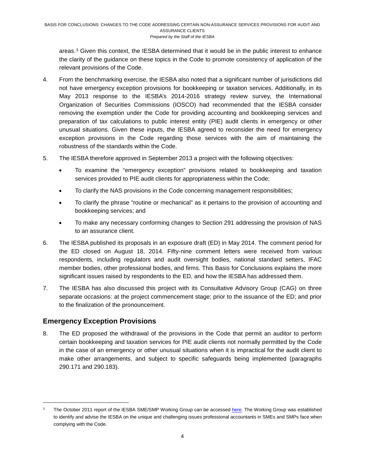areas.[3](#page-3-0) Given this context, the IESBA determined that it would be in the public interest to enhance the clarity of the guidance on these topics in the Code to promote consistency of application of the relevant provisions of the Code.

- 4. From the benchmarking exercise, the IESBA also noted that a significant number of jurisdictions did not have emergency exception provisions for bookkeeping or taxation services. Additionally, in its May 2013 response to the IESBA's 2014-2016 strategy review survey, the International Organization of Securities Commissions (IOSCO) had recommended that the IESBA consider removing the exemption under the Code for providing accounting and bookkeeping services and preparation of tax calculations to public interest entity (PIE) audit clients in emergency or other unusual situations. Given these inputs, the IESBA agreed to reconsider the need for emergency exception provisions in the Code regarding those services with the aim of maintaining the robustness of the standards within the Code.
- 5. The IESBA therefore approved in September 2013 a project with the following objectives:
	- To examine the "emergency exception" provisions related to bookkeeping and taxation services provided to PIE audit clients for appropriateness within the Code;
	- To clarify the NAS provisions in the Code concerning management responsibilities;
	- To clarify the phrase "routine or mechanical" as it pertains to the provision of accounting and bookkeeping services; and
	- To make any necessary conforming changes to Section 291 addressing the provision of NAS to an assurance client.
- 6. The IESBA published its proposals in an exposure draft (ED) in May 2014. The comment period for the ED closed on August 18, 2014. Fifty-nine comment letters were received from various respondents, including regulators and audit oversight bodies, national standard setters, IFAC member bodies, other professional bodies, and firms. This Basis for Conclusions explains the more significant issues raised by respondents to the ED, and how the IESBA has addressed them.
- 7. The IESBA has also discussed this project with its Consultative Advisory Group (CAG) on three separate occasions: at the project commencement stage; prior to the issuance of the ED; and prior to the finalization of the pronouncement.

# **Emergency Exception Provisions**

 $\overline{\phantom{a}}$ 

8. The ED proposed the withdrawal of the provisions in the Code that permit an auditor to perform certain bookkeeping and taxation services for PIE audit clients not normally permitted by the Code in the case of an emergency or other unusual situations when it is impractical for the audit client to make other arrangements, and subject to specific safeguards being implemented (paragraphs 290.171 and 290.183).

<span id="page-3-0"></span>The October 2011 report of the IESBA SME/SMP Working Group can be accessed [here.](http://www.ifac.org/sites/default/files/meetings/files/20111011-%20IESBA-Agenda%20Paper-3-A%20-%20SME_SMP%20Report.pdf) The Working Group was established to identify and advise the IESBA on the unique and challenging issues professional accountants in SMEs and SMPs face when complying with the Code.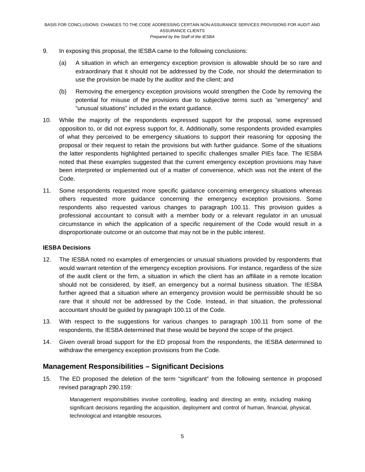- 9. In exposing this proposal, the IESBA came to the following conclusions:
	- (a) A situation in which an emergency exception provision is allowable should be so rare and extraordinary that it should not be addressed by the Code, nor should the determination to use the provision be made by the auditor and the client; and
	- (b) Removing the emergency exception provisions would strengthen the Code by removing the potential for misuse of the provisions due to subjective terms such as "emergency" and "unusual situations" included in the extant guidance.
- 10. While the majority of the respondents expressed support for the proposal, some expressed opposition to, or did not express support for, it. Additionally, some respondents provided examples of what they perceived to be emergency situations to support their reasoning for opposing the proposal or their request to retain the provisions but with further guidance. Some of the situations the latter respondents highlighted pertained to specific challenges smaller PIEs face. The IESBA noted that these examples suggested that the current emergency exception provisions may have been interpreted or implemented out of a matter of convenience, which was not the intent of the Code.
- 11. Some respondents requested more specific guidance concerning emergency situations whereas others requested more guidance concerning the emergency exception provisions. Some respondents also requested various changes to paragraph 100.11. This provision guides a professional accountant to consult with a member body or a relevant regulator in an unusual circumstance in which the application of a specific requirement of the Code would result in a disproportionate outcome or an outcome that may not be in the public interest.

#### **IESBA Decisions**

- 12. The IESBA noted no examples of emergencies or unusual situations provided by respondents that would warrant retention of the emergency exception provisions. For instance, regardless of the size of the audit client or the firm, a situation in which the client has an affiliate in a remote location should not be considered, by itself, an emergency but a normal business situation. The IESBA further agreed that a situation where an emergency provision would be permissible should be so rare that it should not be addressed by the Code. Instead, in that situation, the professional accountant should be guided by paragraph 100.11 of the Code.
- 13. With respect to the suggestions for various changes to paragraph 100.11 from some of the respondents, the IESBA determined that these would be beyond the scope of the project.
- 14. Given overall broad support for the ED proposal from the respondents, the IESBA determined to withdraw the emergency exception provisions from the Code.

# **Management Responsibilities – Significant Decisions**

15. The ED proposed the deletion of the term "significant" from the following sentence in proposed revised paragraph 290.159:

Management responsibilities involve controlling, leading and directing an entity, including making significant decisions regarding the acquisition, deployment and control of human, financial, physical, technological and intangible resources.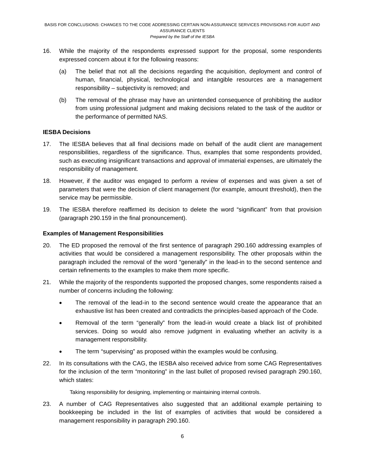- 16. While the majority of the respondents expressed support for the proposal, some respondents expressed concern about it for the following reasons:
	- (a) The belief that not all the decisions regarding the acquisition, deployment and control of human, financial, physical, technological and intangible resources are a management responsibility – subjectivity is removed; and
	- (b) The removal of the phrase may have an unintended consequence of prohibiting the auditor from using professional judgment and making decisions related to the task of the auditor or the performance of permitted NAS.

#### **IESBA Decisions**

- 17. The IESBA believes that all final decisions made on behalf of the audit client are management responsibilities, regardless of the significance. Thus, examples that some respondents provided, such as executing insignificant transactions and approval of immaterial expenses, are ultimately the responsibility of management.
- 18. However, if the auditor was engaged to perform a review of expenses and was given a set of parameters that were the decision of client management (for example, amount threshold), then the service may be permissible.
- 19. The IESBA therefore reaffirmed its decision to delete the word "significant" from that provision (paragraph 290.159 in the final pronouncement).

#### **Examples of Management Responsibilities**

- 20. The ED proposed the removal of the first sentence of paragraph 290.160 addressing examples of activities that would be considered a management responsibility. The other proposals within the paragraph included the removal of the word "generally" in the lead-in to the second sentence and certain refinements to the examples to make them more specific.
- 21. While the majority of the respondents supported the proposed changes, some respondents raised a number of concerns including the following:
	- The removal of the lead-in to the second sentence would create the appearance that an exhaustive list has been created and contradicts the principles-based approach of the Code.
	- Removal of the term "generally" from the lead-in would create a black list of prohibited services. Doing so would also remove judgment in evaluating whether an activity is a management responsibility.
	- The term "supervising" as proposed within the examples would be confusing.
- 22. In its consultations with the CAG, the IESBA also received advice from some CAG Representatives for the inclusion of the term "monitoring" in the last bullet of proposed revised paragraph 290.160, which states:

Taking responsibility for designing, implementing or maintaining internal controls.

23. A number of CAG Representatives also suggested that an additional example pertaining to bookkeeping be included in the list of examples of activities that would be considered a management responsibility in paragraph 290.160.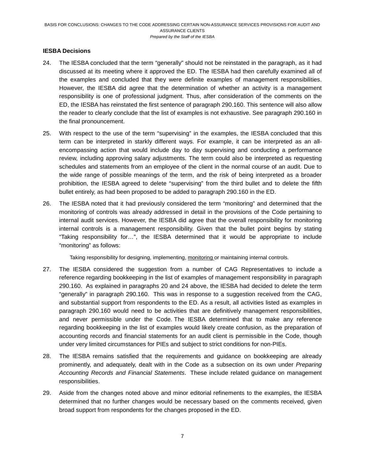#### **IESBA Decisions**

- 24. The IESBA concluded that the term "generally" should not be reinstated in the paragraph, as it had discussed at its meeting where it approved the ED. The IESBA had then carefully examined all of the examples and concluded that they were definite examples of management responsibilities. However, the IESBA did agree that the determination of whether an activity is a management responsibility is one of professional judgment. Thus, after consideration of the comments on the ED, the IESBA has reinstated the first sentence of paragraph 290.160. This sentence will also allow the reader to clearly conclude that the list of examples is not exhaustive. See paragraph 290.160 in the final pronouncement.
- 25. With respect to the use of the term "supervising" in the examples, the IESBA concluded that this term can be interpreted in starkly different ways. For example, it can be interpreted as an allencompassing action that would include day to day supervising and conducting a performance review, including approving salary adjustments. The term could also be interpreted as requesting schedules and statements from an employee of the client in the normal course of an audit. Due to the wide range of possible meanings of the term, and the risk of being interpreted as a broader prohibition, the IESBA agreed to delete "supervising" from the third bullet and to delete the fifth bullet entirely, as had been proposed to be added to paragraph 290.160 in the ED.
- 26. The IESBA noted that it had previously considered the term "monitoring" and determined that the monitoring of controls was already addressed in detail in the provisions of the Code pertaining to internal audit services. However, the IESBA did agree that the overall responsibility for monitoring internal controls is a management responsibility. Given that the bullet point begins by stating "Taking responsibility for…", the IESBA determined that it would be appropriate to include "monitoring" as follows:

Taking responsibility for designing, implementing, monitoring or maintaining internal controls.

- 27. The IESBA considered the suggestion from a number of CAG Representatives to include a reference regarding bookkeeping in the list of examples of management responsibility in paragraph 290.160. As explained in paragraphs 20 and 24 above, the IESBA had decided to delete the term "generally" in paragraph 290.160. This was in response to a suggestion received from the CAG, and substantial support from respondents to the ED. As a result, all activities listed as examples in paragraph 290.160 would need to be activities that are definitively management responsibilities, and never permissible under the Code. The IESBA determined that to make any reference regarding bookkeeping in the list of examples would likely create confusion, as the preparation of accounting records and financial statements for an audit client is permissible in the Code, though under very limited circumstances for PIEs and subject to strict conditions for non-PIEs.
- 28. The IESBA remains satisfied that the requirements and guidance on bookkeeping are already prominently, and adequately, dealt with in the Code as a subsection on its own under *Preparing Accounting Records and Financial Statements*. These include related guidance on management responsibilities.
- 29. Aside from the changes noted above and minor editorial refinements to the examples, the IESBA determined that no further changes would be necessary based on the comments received, given broad support from respondents for the changes proposed in the ED.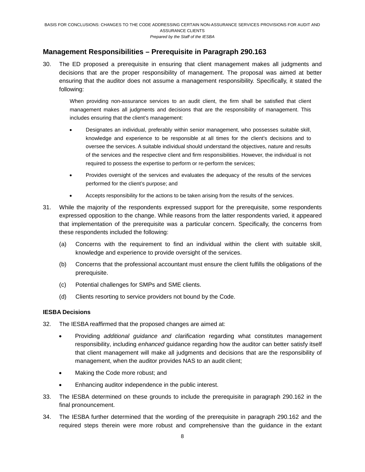# **Management Responsibilities – Prerequisite in Paragraph 290.163**

30. The ED proposed a prerequisite in ensuring that client management makes all judgments and decisions that are the proper responsibility of management. The proposal was aimed at better ensuring that the auditor does not assume a management responsibility. Specifically, it stated the following:

When providing non-assurance services to an audit client, the firm shall be satisfied that client management makes all judgments and decisions that are the responsibility of management. This includes ensuring that the client's management:

- Designates an individual, preferably within senior management, who possesses suitable skill, knowledge and experience to be responsible at all times for the client's decisions and to oversee the services. A suitable individual should understand the objectives, nature and results of the services and the respective client and firm responsibilities. However, the individual is not required to possess the expertise to perform or re-perform the services;
- Provides oversight of the services and evaluates the adequacy of the results of the services performed for the client's purpose; and
- Accepts responsibility for the actions to be taken arising from the results of the services.
- 31. While the majority of the respondents expressed support for the prerequisite, some respondents expressed opposition to the change. While reasons from the latter respondents varied, it appeared that implementation of the prerequisite was a particular concern. Specifically, the concerns from these respondents included the following:
	- (a) Concerns with the requirement to find an individual within the client with suitable skill, knowledge and experience to provide oversight of the services.
	- (b) Concerns that the professional accountant must ensure the client fulfills the obligations of the prerequisite.
	- (c) Potential challenges for SMPs and SME clients.
	- (d) Clients resorting to service providers not bound by the Code.

#### **IESBA Decisions**

- 32. The IESBA reaffirmed that the proposed changes are aimed at:
	- Providing *additional guidance and clarification* regarding what constitutes management responsibility, including *enhanced* guidance regarding how the auditor can better satisfy itself that client management will make all judgments and decisions that are the responsibility of management, when the auditor provides NAS to an audit client;
	- Making the Code more robust; and
	- Enhancing auditor independence in the public interest.
- 33. The IESBA determined on these grounds to include the prerequisite in paragraph 290.162 in the final pronouncement.
- 34. The IESBA further determined that the wording of the prerequisite in paragraph 290.162 and the required steps therein were more robust and comprehensive than the guidance in the extant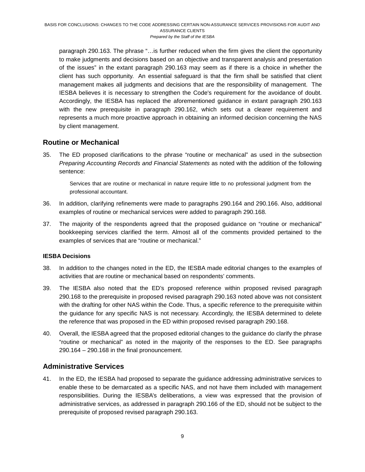paragraph 290.163. The phrase "…is further reduced when the firm gives the client the opportunity to make judgments and decisions based on an objective and transparent analysis and presentation of the issues" in the extant paragraph 290.163 may seem as if there is a choice in whether the client has such opportunity. An essential safeguard is that the firm shall be satisfied that client management makes all judgments and decisions that are the responsibility of management. The IESBA believes it is necessary to strengthen the Code's requirement for the avoidance of doubt. Accordingly, the IESBA has replaced the aforementioned guidance in extant paragraph 290.163 with the new prerequisite in paragraph 290.162, which sets out a clearer requirement and represents a much more proactive approach in obtaining an informed decision concerning the NAS by client management.

# **Routine or Mechanical**

35. The ED proposed clarifications to the phrase "routine or mechanical" as used in the subsection *Preparing Accounting Records and Financial Statements* as noted with the addition of the following sentence:

Services that are routine or mechanical in nature require little to no professional judgment from the professional accountant.

- 36. In addition, clarifying refinements were made to paragraphs 290.164 and 290.166. Also, additional examples of routine or mechanical services were added to paragraph 290.168.
- 37. The majority of the respondents agreed that the proposed guidance on "routine or mechanical" bookkeeping services clarified the term. Almost all of the comments provided pertained to the examples of services that are "routine or mechanical."

#### **IESBA Decisions**

- 38. In addition to the changes noted in the ED, the IESBA made editorial changes to the examples of activities that are routine or mechanical based on respondents' comments.
- 39. The IESBA also noted that the ED's proposed reference within proposed revised paragraph 290.168 to the prerequisite in proposed revised paragraph 290.163 noted above was not consistent with the drafting for other NAS within the Code. Thus, a specific reference to the prerequisite within the guidance for any specific NAS is not necessary. Accordingly, the IESBA determined to delete the reference that was proposed in the ED within proposed revised paragraph 290.168.
- 40. Overall, the IESBA agreed that the proposed editorial changes to the guidance do clarify the phrase "routine or mechanical" as noted in the majority of the responses to the ED. See paragraphs 290.164 – 290.168 in the final pronouncement.

# **Administrative Services**

41. In the ED, the IESBA had proposed to separate the guidance addressing administrative services to enable these to be demarcated as a specific NAS, and not have them included with management responsibilities. During the IESBA's deliberations, a view was expressed that the provision of administrative services, as addressed in paragraph 290.166 of the ED, should not be subject to the prerequisite of proposed revised paragraph 290.163.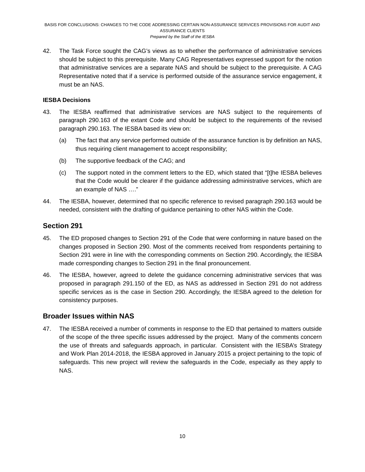42. The Task Force sought the CAG's views as to whether the performance of administrative services should be subject to this prerequisite. Many CAG Representatives expressed support for the notion that administrative services are a separate NAS and should be subject to the prerequisite. A CAG Representative noted that if a service is performed outside of the assurance service engagement, it must be an NAS.

#### **IESBA Decisions**

- 43. The IESBA reaffirmed that administrative services are NAS subject to the requirements of paragraph 290.163 of the extant Code and should be subject to the requirements of the revised paragraph 290.163. The IESBA based its view on:
	- (a) The fact that any service performed outside of the assurance function is by definition an NAS, thus requiring client management to accept responsibility;
	- (b) The supportive feedback of the CAG; and
	- (c) The support noted in the comment letters to the ED, which stated that "[t]he IESBA believes that the Code would be clearer if the guidance addressing administrative services, which are an example of NAS …."
- 44. The IESBA, however, determined that no specific reference to revised paragraph 290.163 would be needed, consistent with the drafting of guidance pertaining to other NAS within the Code.

# **Section 291**

- 45. The ED proposed changes to Section 291 of the Code that were conforming in nature based on the changes proposed in Section 290. Most of the comments received from respondents pertaining to Section 291 were in line with the corresponding comments on Section 290. Accordingly, the IESBA made corresponding changes to Section 291 in the final pronouncement.
- 46. The IESBA, however, agreed to delete the guidance concerning administrative services that was proposed in paragraph 291.150 of the ED, as NAS as addressed in Section 291 do not address specific services as is the case in Section 290. Accordingly, the IESBA agreed to the deletion for consistency purposes.

### **Broader Issues within NAS**

47. The IESBA received a number of comments in response to the ED that pertained to matters outside of the scope of the three specific issues addressed by the project. Many of the comments concern the use of threats and safeguards approach, in particular. Consistent with the IESBA's Strategy and Work Plan 2014-2018, the IESBA approved in January 2015 a project pertaining to the topic of safeguards. This new project will review the safeguards in the Code, especially as they apply to NAS.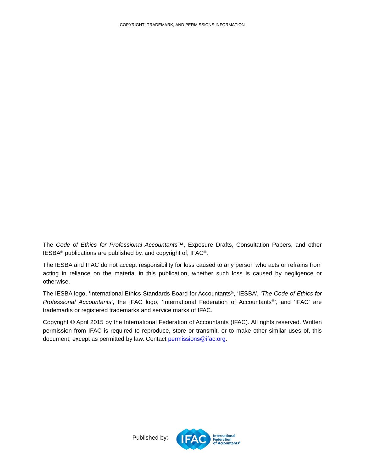<span id="page-10-0"></span>The *Code of Ethics for Professional Accountants™*, Exposure Drafts, Consultation Papers, and other IESBA® publications are published by, and copyright of, IFAC®.

The IESBA and IFAC do not accept responsibility for loss caused to any person who acts or refrains from acting in reliance on the material in this publication, whether such loss is caused by negligence or otherwise.

The IESBA logo, 'International Ethics Standards Board for Accountants®, 'IESBA', '*The Code of Ethics for Professional Accountants*', the IFAC logo, 'International Federation of Accountants®', and 'IFAC' are trademarks or registered trademarks and service marks of IFAC.

Copyright © April 2015 by the International Federation of Accountants (IFAC). All rights reserved. Written permission from IFAC is required to reproduce, store or transmit, or to make other similar uses of, this document, except as permitted by law. Contact [permissions@ifac.org.](mailto:permissions@ifac.org)